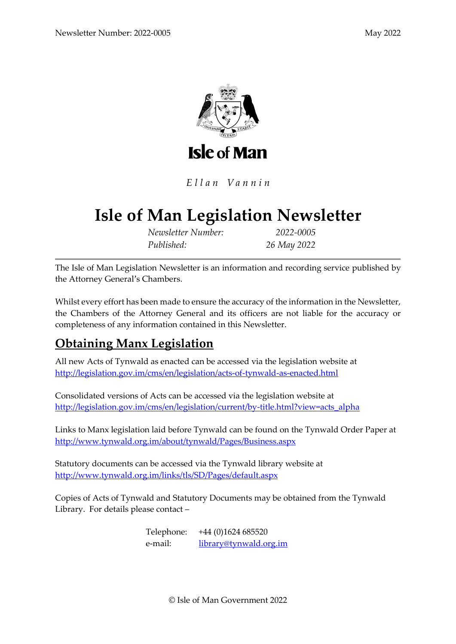

Ellan Vannin

# **Isle of Man Legislation Newsletter**

*Newsletter Number: 2022-0005 Published: 26 May 2022*

The Isle of Man Legislation Newsletter is an information and recording service published by the Attorney General's Chambers.

Whilst every effort has been made to ensure the accuracy of the information in the Newsletter, the Chambers of the Attorney General and its officers are not liable for the accuracy or completeness of any information contained in this Newsletter.

# **Obtaining Manx Legislation**

All new Acts of Tynwald as enacted can be accessed via the legislation website at <http://legislation.gov.im/cms/en/legislation/acts-of-tynwald-as-enacted.html>

Consolidated versions of Acts can be accessed via the legislation website at [http://legislation.gov.im/cms/en/legislation/current/by-title.html?view=acts\\_alpha](http://legislation.gov.im/cms/en/legislation/current/by-title.html?view=acts_alpha)

Links to Manx legislation laid before Tynwald can be found on the Tynwald Order Paper at <http://www.tynwald.org.im/about/tynwald/Pages/Business.aspx>

Statutory documents can be accessed via the Tynwald library website at <http://www.tynwald.org.im/links/tls/SD/Pages/default.aspx>

Copies of Acts of Tynwald and Statutory Documents may be obtained from the Tynwald Library. For details please contact –

> Telephone: +44 (0)1624 685520 e-mail: [library@tynwald.org.im](mailto:library@tynwald.org.im)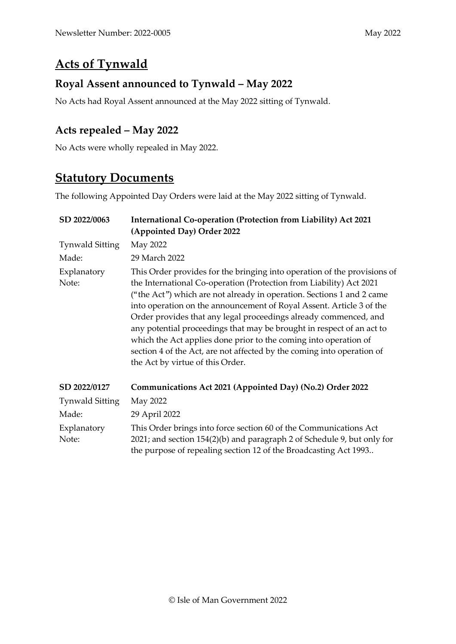## **Acts of Tynwald**

#### **Royal Assent announced to Tynwald – May 2022**

No Acts had Royal Assent announced at the May 2022 sitting of Tynwald.

#### **Acts repealed – May 2022**

No Acts were wholly repealed in May 2022.

## **Statutory Documents**

The following Appointed Day Orders were laid at the May 2022 sitting of Tynwald.

| SD 2022/0063           | International Co-operation (Protection from Liability) Act 2021<br>(Appointed Day) Order 2022                                                                                                                                                                                                                                                                                                                                                                                                                                                                                                                                   |  |
|------------------------|---------------------------------------------------------------------------------------------------------------------------------------------------------------------------------------------------------------------------------------------------------------------------------------------------------------------------------------------------------------------------------------------------------------------------------------------------------------------------------------------------------------------------------------------------------------------------------------------------------------------------------|--|
| <b>Tynwald Sitting</b> | May 2022                                                                                                                                                                                                                                                                                                                                                                                                                                                                                                                                                                                                                        |  |
| Made:                  | 29 March 2022                                                                                                                                                                                                                                                                                                                                                                                                                                                                                                                                                                                                                   |  |
| Explanatory<br>Note:   | This Order provides for the bringing into operation of the provisions of<br>the International Co-operation (Protection from Liability) Act 2021<br>("the Act") which are not already in operation. Sections 1 and 2 came<br>into operation on the announcement of Royal Assent. Article 3 of the<br>Order provides that any legal proceedings already commenced, and<br>any potential proceedings that may be brought in respect of an act to<br>which the Act applies done prior to the coming into operation of<br>section 4 of the Act, are not affected by the coming into operation of<br>the Act by virtue of this Order. |  |
| SD 2022/0127           | Communications Act 2021 (Appointed Day) (No.2) Order 2022                                                                                                                                                                                                                                                                                                                                                                                                                                                                                                                                                                       |  |
| Tynwald Sitting        | May 2022                                                                                                                                                                                                                                                                                                                                                                                                                                                                                                                                                                                                                        |  |
| Made:                  | 29 April 2022                                                                                                                                                                                                                                                                                                                                                                                                                                                                                                                                                                                                                   |  |
| Explanatory<br>Note:   | This Order brings into force section 60 of the Communications Act<br>2021; and section 154(2)(b) and paragraph 2 of Schedule 9, but only for<br>the purpose of repealing section 12 of the Broadcasting Act 1993                                                                                                                                                                                                                                                                                                                                                                                                                |  |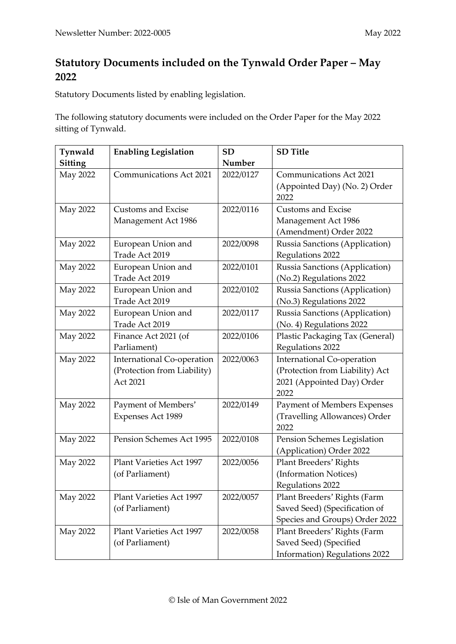### **Statutory Documents included on the Tynwald Order Paper – May 2022**

Statutory Documents listed by enabling legislation.

The following statutory documents were included on the Order Paper for the May 2022 sitting of Tynwald.

| Tynwald        | <b>Enabling Legislation</b>     | SD        | <b>SD</b> Title                   |
|----------------|---------------------------------|-----------|-----------------------------------|
| <b>Sitting</b> |                                 | Number    |                                   |
| May 2022       | Communications Act 2021         | 2022/0127 | <b>Communications Act 2021</b>    |
|                |                                 |           | (Appointed Day) (No. 2) Order     |
|                |                                 |           | 2022                              |
| May 2022       | <b>Customs and Excise</b>       | 2022/0116 | <b>Customs and Excise</b>         |
|                | Management Act 1986             |           | Management Act 1986               |
|                |                                 |           | (Amendment) Order 2022            |
| May 2022       | European Union and              | 2022/0098 | Russia Sanctions (Application)    |
|                | Trade Act 2019                  |           | Regulations 2022                  |
| May 2022       | European Union and              | 2022/0101 | Russia Sanctions (Application)    |
|                | Trade Act 2019                  |           | (No.2) Regulations 2022           |
| May 2022       | European Union and              | 2022/0102 | Russia Sanctions (Application)    |
|                | Trade Act 2019                  |           | (No.3) Regulations 2022           |
| May 2022       | European Union and              | 2022/0117 | Russia Sanctions (Application)    |
|                | Trade Act 2019                  |           | (No. 4) Regulations 2022          |
| May 2022       | Finance Act 2021 (of            | 2022/0106 | Plastic Packaging Tax (General)   |
|                | Parliament)                     |           | Regulations 2022                  |
| May 2022       | International Co-operation      | 2022/0063 | <b>International Co-operation</b> |
|                | (Protection from Liability)     |           | (Protection from Liability) Act   |
|                | Act 2021                        |           | 2021 (Appointed Day) Order        |
|                |                                 |           | 2022                              |
| May 2022       | Payment of Members'             | 2022/0149 | Payment of Members Expenses       |
|                | Expenses Act 1989               |           | (Travelling Allowances) Order     |
|                |                                 |           | 2022                              |
| May 2022       | Pension Schemes Act 1995        | 2022/0108 | Pension Schemes Legislation       |
|                |                                 |           | (Application) Order 2022          |
| May 2022       | <b>Plant Varieties Act 1997</b> | 2022/0056 | Plant Breeders' Rights            |
|                | (of Parliament)                 |           | (Information Notices)             |
|                |                                 |           | Regulations 2022                  |
| May 2022       | Plant Varieties Act 1997        | 2022/0057 | Plant Breeders' Rights (Farm      |
|                | (of Parliament)                 |           | Saved Seed) (Specification of     |
|                |                                 |           | Species and Groups) Order 2022    |
| May 2022       | <b>Plant Varieties Act 1997</b> | 2022/0058 | Plant Breeders' Rights (Farm      |
|                | (of Parliament)                 |           | Saved Seed) (Specified            |
|                |                                 |           | Information) Regulations 2022     |